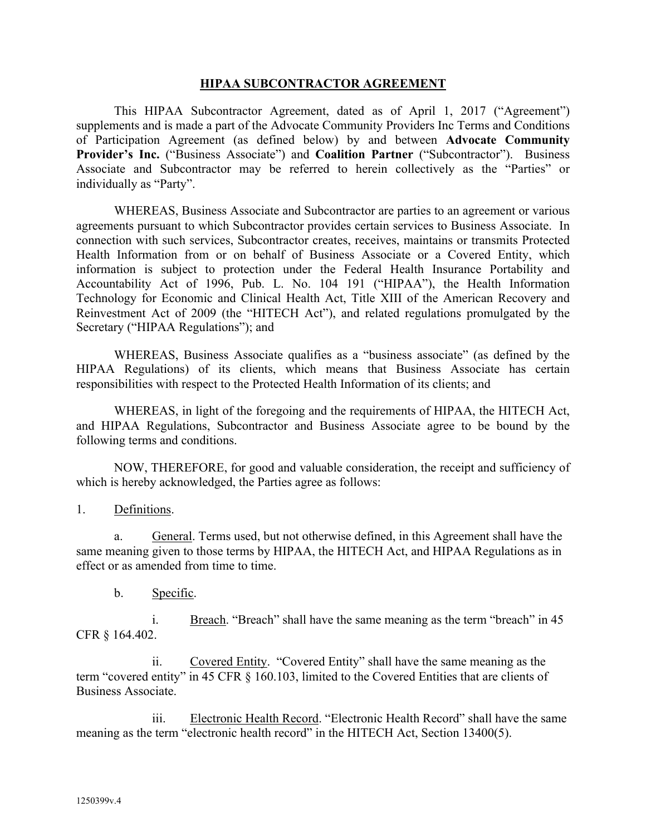#### **HIPAA SUBCONTRACTOR AGREEMENT**

This HIPAA Subcontractor Agreement, dated as of April 1, 2017 ("Agreement") supplements and is made a part of the Advocate Community Providers Inc Terms and Conditions of Participation Agreement (as defined below) by and between **Advocate Community Provider's Inc.** ("Business Associate") and **Coalition Partner** ("Subcontractor"). Business Associate and Subcontractor may be referred to herein collectively as the "Parties" or individually as "Party".

WHEREAS, Business Associate and Subcontractor are parties to an agreement or various agreements pursuant to which Subcontractor provides certain services to Business Associate. In connection with such services, Subcontractor creates, receives, maintains or transmits Protected Health Information from or on behalf of Business Associate or a Covered Entity, which information is subject to protection under the Federal Health Insurance Portability and Accountability Act of 1996, Pub. L. No. 104 191 ("HIPAA"), the Health Information Technology for Economic and Clinical Health Act, Title XIII of the American Recovery and Reinvestment Act of 2009 (the "HITECH Act"), and related regulations promulgated by the Secretary ("HIPAA Regulations"); and

WHEREAS, Business Associate qualifies as a "business associate" (as defined by the HIPAA Regulations) of its clients, which means that Business Associate has certain responsibilities with respect to the Protected Health Information of its clients; and

WHEREAS, in light of the foregoing and the requirements of HIPAA, the HITECH Act, and HIPAA Regulations, Subcontractor and Business Associate agree to be bound by the following terms and conditions.

NOW, THEREFORE, for good and valuable consideration, the receipt and sufficiency of which is hereby acknowledged, the Parties agree as follows:

1. Definitions.

a. General. Terms used, but not otherwise defined, in this Agreement shall have the same meaning given to those terms by HIPAA, the HITECH Act, and HIPAA Regulations as in effect or as amended from time to time.

b. Specific.

i. Breach. "Breach" shall have the same meaning as the term "breach" in 45 CFR § 164.402.

ii. Covered Entity. "Covered Entity" shall have the same meaning as the term "covered entity" in 45 CFR § 160.103, limited to the Covered Entities that are clients of Business Associate.

iii. Electronic Health Record. "Electronic Health Record" shall have the same meaning as the term "electronic health record" in the HITECH Act, Section 13400(5).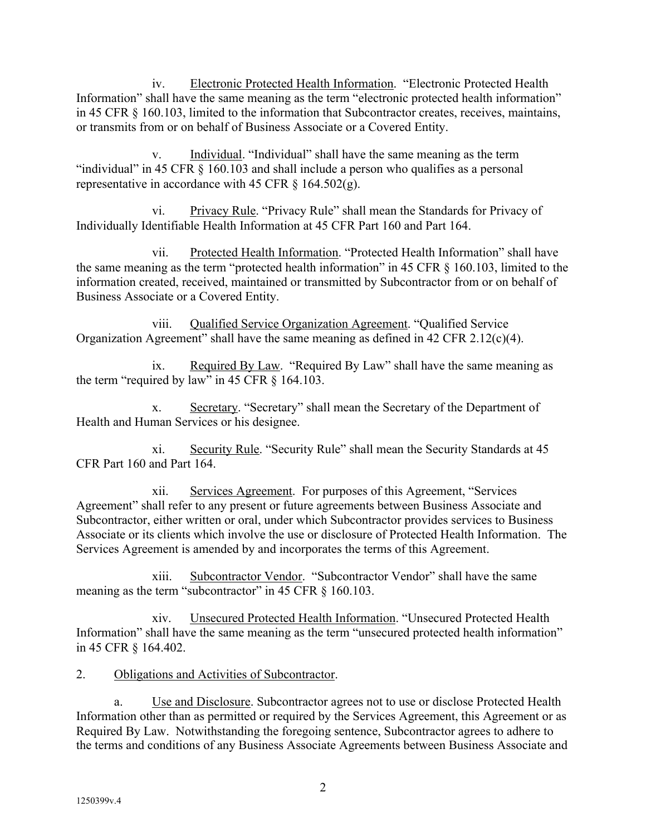iv. Electronic Protected Health Information. "Electronic Protected Health Information" shall have the same meaning as the term "electronic protected health information" in 45 CFR § 160.103, limited to the information that Subcontractor creates, receives, maintains, or transmits from or on behalf of Business Associate or a Covered Entity.

v. Individual. "Individual" shall have the same meaning as the term "individual" in 45 CFR § 160.103 and shall include a person who qualifies as a personal representative in accordance with 45 CFR  $\S$  164.502(g).

vi. Privacy Rule. "Privacy Rule" shall mean the Standards for Privacy of Individually Identifiable Health Information at 45 CFR Part 160 and Part 164.

vii. Protected Health Information. "Protected Health Information" shall have the same meaning as the term "protected health information" in 45 CFR § 160.103, limited to the information created, received, maintained or transmitted by Subcontractor from or on behalf of Business Associate or a Covered Entity.

viii. Qualified Service Organization Agreement. "Qualified Service Organization Agreement" shall have the same meaning as defined in 42 CFR 2.12(c)(4).

ix. Required By Law. "Required By Law" shall have the same meaning as the term "required by law" in 45 CFR § 164.103.

x. Secretary. "Secretary" shall mean the Secretary of the Department of Health and Human Services or his designee.

xi. Security Rule. "Security Rule" shall mean the Security Standards at 45 CFR Part 160 and Part 164.

xii. Services Agreement. For purposes of this Agreement, "Services Agreement" shall refer to any present or future agreements between Business Associate and Subcontractor, either written or oral, under which Subcontractor provides services to Business Associate or its clients which involve the use or disclosure of Protected Health Information. The Services Agreement is amended by and incorporates the terms of this Agreement.

xiii. Subcontractor Vendor. "Subcontractor Vendor" shall have the same meaning as the term "subcontractor" in 45 CFR § 160.103.

xiv. Unsecured Protected Health Information. "Unsecured Protected Health Information" shall have the same meaning as the term "unsecured protected health information" in 45 CFR § 164.402.

2. Obligations and Activities of Subcontractor.

a. Use and Disclosure. Subcontractor agrees not to use or disclose Protected Health Information other than as permitted or required by the Services Agreement, this Agreement or as Required By Law. Notwithstanding the foregoing sentence, Subcontractor agrees to adhere to the terms and conditions of any Business Associate Agreements between Business Associate and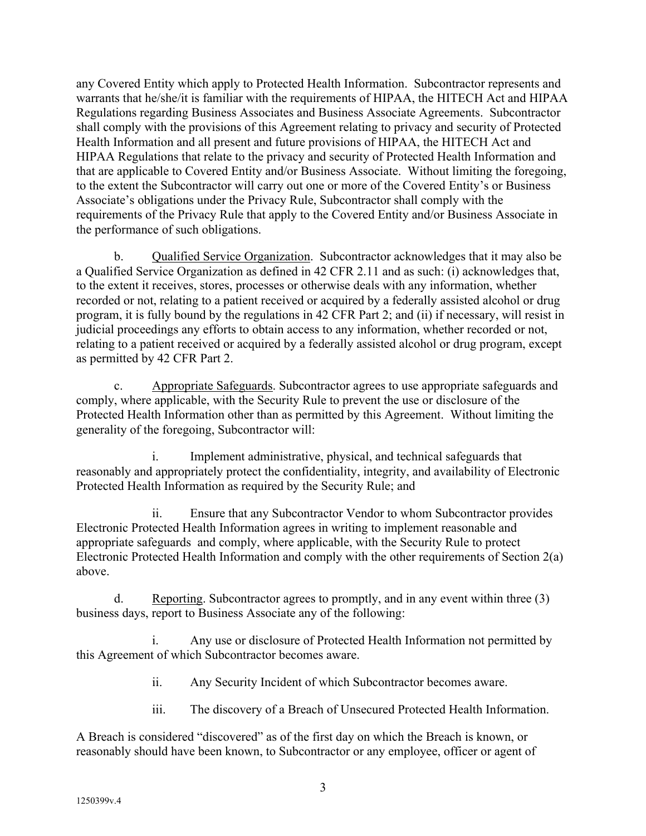any Covered Entity which apply to Protected Health Information. Subcontractor represents and warrants that he/she/it is familiar with the requirements of HIPAA, the HITECH Act and HIPAA Regulations regarding Business Associates and Business Associate Agreements. Subcontractor shall comply with the provisions of this Agreement relating to privacy and security of Protected Health Information and all present and future provisions of HIPAA, the HITECH Act and HIPAA Regulations that relate to the privacy and security of Protected Health Information and that are applicable to Covered Entity and/or Business Associate. Without limiting the foregoing, to the extent the Subcontractor will carry out one or more of the Covered Entity's or Business Associate's obligations under the Privacy Rule, Subcontractor shall comply with the requirements of the Privacy Rule that apply to the Covered Entity and/or Business Associate in the performance of such obligations.

b. Qualified Service Organization. Subcontractor acknowledges that it may also be a Qualified Service Organization as defined in 42 CFR 2.11 and as such: (i) acknowledges that, to the extent it receives, stores, processes or otherwise deals with any information, whether recorded or not, relating to a patient received or acquired by a federally assisted alcohol or drug program, it is fully bound by the regulations in 42 CFR Part 2; and (ii) if necessary, will resist in judicial proceedings any efforts to obtain access to any information, whether recorded or not, relating to a patient received or acquired by a federally assisted alcohol or drug program, except as permitted by 42 CFR Part 2.

c. Appropriate Safeguards. Subcontractor agrees to use appropriate safeguards and comply, where applicable, with the Security Rule to prevent the use or disclosure of the Protected Health Information other than as permitted by this Agreement. Without limiting the generality of the foregoing, Subcontractor will:

i. Implement administrative, physical, and technical safeguards that reasonably and appropriately protect the confidentiality, integrity, and availability of Electronic Protected Health Information as required by the Security Rule; and

ii. Ensure that any Subcontractor Vendor to whom Subcontractor provides Electronic Protected Health Information agrees in writing to implement reasonable and appropriate safeguards and comply, where applicable, with the Security Rule to protect Electronic Protected Health Information and comply with the other requirements of Section 2(a) above.

d. Reporting. Subcontractor agrees to promptly, and in any event within three (3) business days, report to Business Associate any of the following:

i. Any use or disclosure of Protected Health Information not permitted by this Agreement of which Subcontractor becomes aware.

ii. Any Security Incident of which Subcontractor becomes aware.

iii. The discovery of a Breach of Unsecured Protected Health Information.

A Breach is considered "discovered" as of the first day on which the Breach is known, or reasonably should have been known, to Subcontractor or any employee, officer or agent of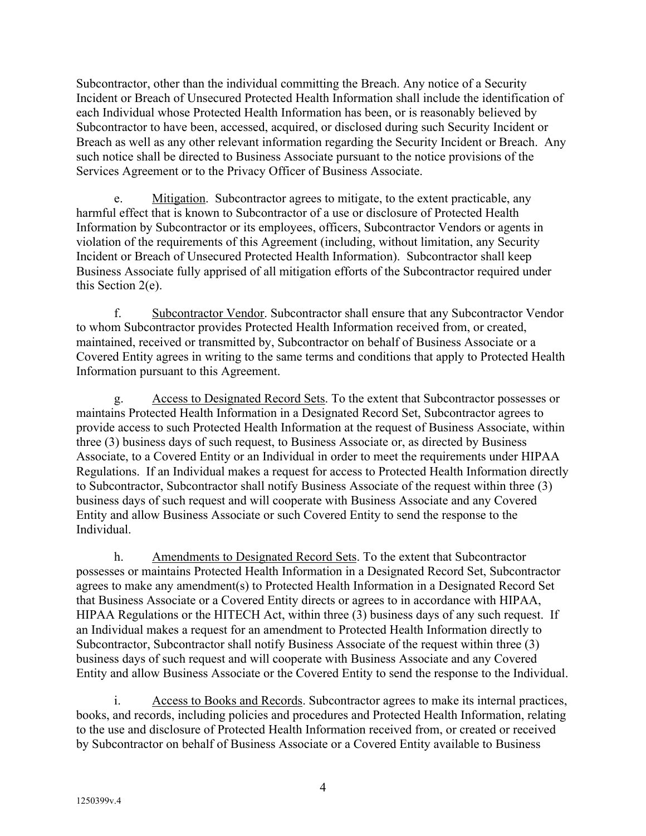Subcontractor, other than the individual committing the Breach. Any notice of a Security Incident or Breach of Unsecured Protected Health Information shall include the identification of each Individual whose Protected Health Information has been, or is reasonably believed by Subcontractor to have been, accessed, acquired, or disclosed during such Security Incident or Breach as well as any other relevant information regarding the Security Incident or Breach. Any such notice shall be directed to Business Associate pursuant to the notice provisions of the Services Agreement or to the Privacy Officer of Business Associate.

e. Mitigation. Subcontractor agrees to mitigate, to the extent practicable, any harmful effect that is known to Subcontractor of a use or disclosure of Protected Health Information by Subcontractor or its employees, officers, Subcontractor Vendors or agents in violation of the requirements of this Agreement (including, without limitation, any Security Incident or Breach of Unsecured Protected Health Information). Subcontractor shall keep Business Associate fully apprised of all mitigation efforts of the Subcontractor required under this Section 2(e).

f. Subcontractor Vendor. Subcontractor shall ensure that any Subcontractor Vendor to whom Subcontractor provides Protected Health Information received from, or created, maintained, received or transmitted by, Subcontractor on behalf of Business Associate or a Covered Entity agrees in writing to the same terms and conditions that apply to Protected Health Information pursuant to this Agreement.

g. Access to Designated Record Sets. To the extent that Subcontractor possesses or maintains Protected Health Information in a Designated Record Set, Subcontractor agrees to provide access to such Protected Health Information at the request of Business Associate, within three (3) business days of such request, to Business Associate or, as directed by Business Associate, to a Covered Entity or an Individual in order to meet the requirements under HIPAA Regulations. If an Individual makes a request for access to Protected Health Information directly to Subcontractor, Subcontractor shall notify Business Associate of the request within three (3) business days of such request and will cooperate with Business Associate and any Covered Entity and allow Business Associate or such Covered Entity to send the response to the Individual.

h. Amendments to Designated Record Sets. To the extent that Subcontractor possesses or maintains Protected Health Information in a Designated Record Set, Subcontractor agrees to make any amendment(s) to Protected Health Information in a Designated Record Set that Business Associate or a Covered Entity directs or agrees to in accordance with HIPAA, HIPAA Regulations or the HITECH Act, within three (3) business days of any such request. If an Individual makes a request for an amendment to Protected Health Information directly to Subcontractor, Subcontractor shall notify Business Associate of the request within three (3) business days of such request and will cooperate with Business Associate and any Covered Entity and allow Business Associate or the Covered Entity to send the response to the Individual.

i. Access to Books and Records. Subcontractor agrees to make its internal practices, books, and records, including policies and procedures and Protected Health Information, relating to the use and disclosure of Protected Health Information received from, or created or received by Subcontractor on behalf of Business Associate or a Covered Entity available to Business

4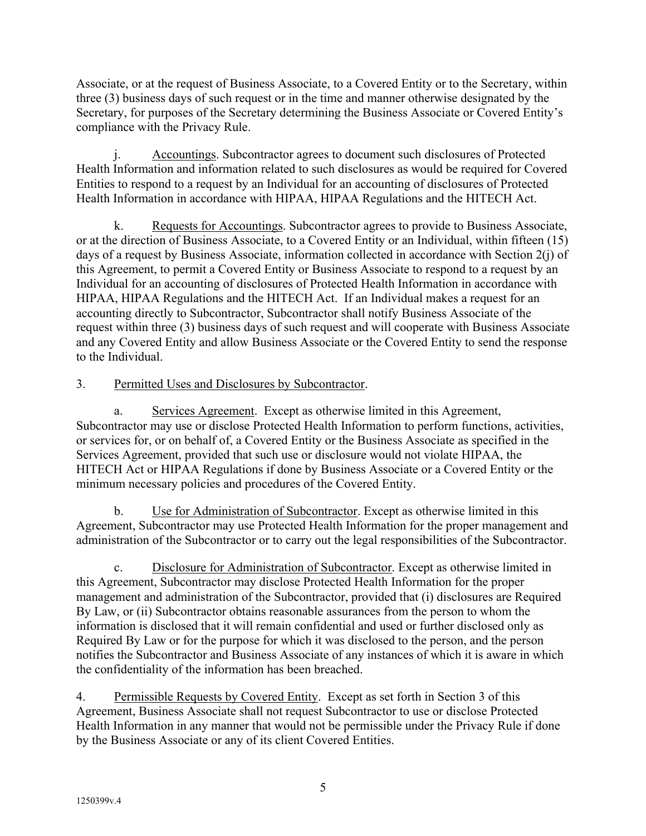Associate, or at the request of Business Associate, to a Covered Entity or to the Secretary, within three (3) business days of such request or in the time and manner otherwise designated by the Secretary, for purposes of the Secretary determining the Business Associate or Covered Entity's compliance with the Privacy Rule.

j. Accountings. Subcontractor agrees to document such disclosures of Protected Health Information and information related to such disclosures as would be required for Covered Entities to respond to a request by an Individual for an accounting of disclosures of Protected Health Information in accordance with HIPAA, HIPAA Regulations and the HITECH Act.

k. Requests for Accountings. Subcontractor agrees to provide to Business Associate, or at the direction of Business Associate, to a Covered Entity or an Individual, within fifteen (15) days of a request by Business Associate, information collected in accordance with Section 2(j) of this Agreement, to permit a Covered Entity or Business Associate to respond to a request by an Individual for an accounting of disclosures of Protected Health Information in accordance with HIPAA, HIPAA Regulations and the HITECH Act. If an Individual makes a request for an accounting directly to Subcontractor, Subcontractor shall notify Business Associate of the request within three (3) business days of such request and will cooperate with Business Associate and any Covered Entity and allow Business Associate or the Covered Entity to send the response to the Individual.

## 3. Permitted Uses and Disclosures by Subcontractor.

a. Services Agreement. Except as otherwise limited in this Agreement, Subcontractor may use or disclose Protected Health Information to perform functions, activities, or services for, or on behalf of, a Covered Entity or the Business Associate as specified in the Services Agreement, provided that such use or disclosure would not violate HIPAA, the HITECH Act or HIPAA Regulations if done by Business Associate or a Covered Entity or the minimum necessary policies and procedures of the Covered Entity.

b. Use for Administration of Subcontractor. Except as otherwise limited in this Agreement, Subcontractor may use Protected Health Information for the proper management and administration of the Subcontractor or to carry out the legal responsibilities of the Subcontractor.

c. Disclosure for Administration of Subcontractor. Except as otherwise limited in this Agreement, Subcontractor may disclose Protected Health Information for the proper management and administration of the Subcontractor, provided that (i) disclosures are Required By Law, or (ii) Subcontractor obtains reasonable assurances from the person to whom the information is disclosed that it will remain confidential and used or further disclosed only as Required By Law or for the purpose for which it was disclosed to the person, and the person notifies the Subcontractor and Business Associate of any instances of which it is aware in which the confidentiality of the information has been breached.

4. Permissible Requests by Covered Entity. Except as set forth in Section 3 of this Agreement, Business Associate shall not request Subcontractor to use or disclose Protected Health Information in any manner that would not be permissible under the Privacy Rule if done by the Business Associate or any of its client Covered Entities.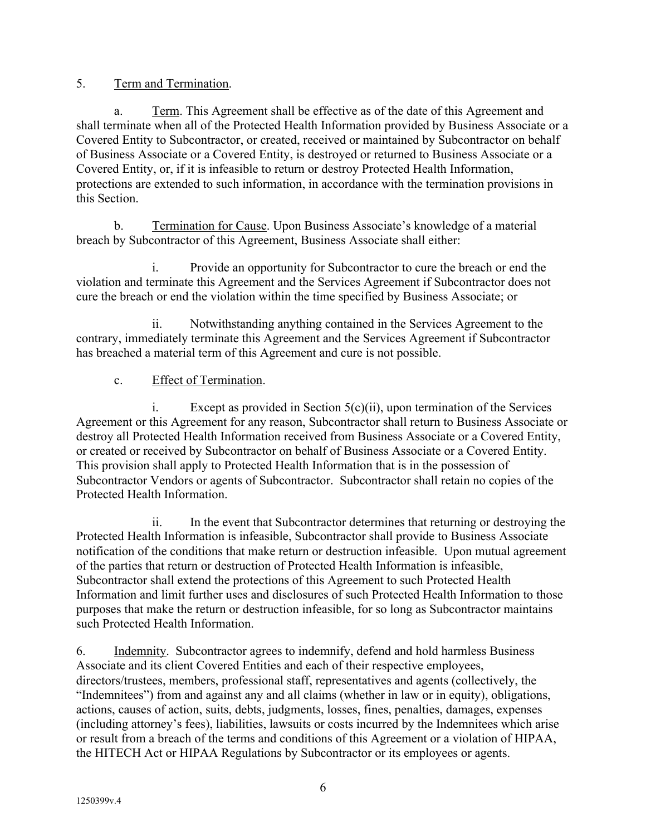5. Term and Termination.

a. Term. This Agreement shall be effective as of the date of this Agreement and shall terminate when all of the Protected Health Information provided by Business Associate or a Covered Entity to Subcontractor, or created, received or maintained by Subcontractor on behalf of Business Associate or a Covered Entity, is destroyed or returned to Business Associate or a Covered Entity, or, if it is infeasible to return or destroy Protected Health Information, protections are extended to such information, in accordance with the termination provisions in this Section.

b. Termination for Cause. Upon Business Associate's knowledge of a material breach by Subcontractor of this Agreement, Business Associate shall either:

i. Provide an opportunity for Subcontractor to cure the breach or end the violation and terminate this Agreement and the Services Agreement if Subcontractor does not cure the breach or end the violation within the time specified by Business Associate; or

ii. Notwithstanding anything contained in the Services Agreement to the contrary, immediately terminate this Agreement and the Services Agreement if Subcontractor has breached a material term of this Agreement and cure is not possible.

### c. Effect of Termination.

i. Except as provided in Section  $5(c)(ii)$ , upon termination of the Services Agreement or this Agreement for any reason, Subcontractor shall return to Business Associate or destroy all Protected Health Information received from Business Associate or a Covered Entity, or created or received by Subcontractor on behalf of Business Associate or a Covered Entity. This provision shall apply to Protected Health Information that is in the possession of Subcontractor Vendors or agents of Subcontractor. Subcontractor shall retain no copies of the Protected Health Information.

ii. In the event that Subcontractor determines that returning or destroying the Protected Health Information is infeasible, Subcontractor shall provide to Business Associate notification of the conditions that make return or destruction infeasible. Upon mutual agreement of the parties that return or destruction of Protected Health Information is infeasible, Subcontractor shall extend the protections of this Agreement to such Protected Health Information and limit further uses and disclosures of such Protected Health Information to those purposes that make the return or destruction infeasible, for so long as Subcontractor maintains such Protected Health Information.

6. Indemnity. Subcontractor agrees to indemnify, defend and hold harmless Business Associate and its client Covered Entities and each of their respective employees, directors/trustees, members, professional staff, representatives and agents (collectively, the "Indemnitees") from and against any and all claims (whether in law or in equity), obligations, actions, causes of action, suits, debts, judgments, losses, fines, penalties, damages, expenses (including attorney's fees), liabilities, lawsuits or costs incurred by the Indemnitees which arise or result from a breach of the terms and conditions of this Agreement or a violation of HIPAA, the HITECH Act or HIPAA Regulations by Subcontractor or its employees or agents.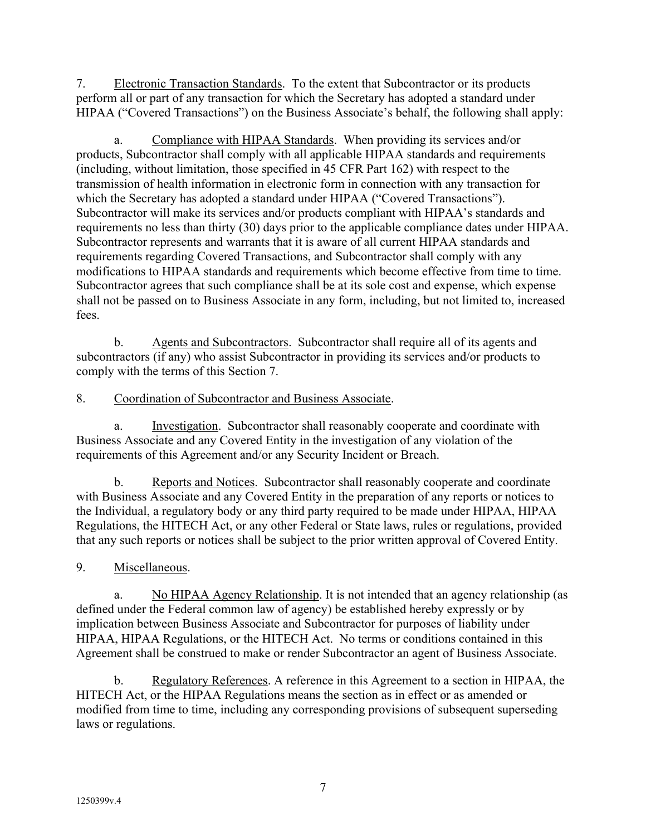7. Electronic Transaction Standards. To the extent that Subcontractor or its products perform all or part of any transaction for which the Secretary has adopted a standard under HIPAA ("Covered Transactions") on the Business Associate's behalf, the following shall apply:

a. Compliance with HIPAA Standards. When providing its services and/or products, Subcontractor shall comply with all applicable HIPAA standards and requirements (including, without limitation, those specified in 45 CFR Part 162) with respect to the transmission of health information in electronic form in connection with any transaction for which the Secretary has adopted a standard under HIPAA ("Covered Transactions"). Subcontractor will make its services and/or products compliant with HIPAA's standards and requirements no less than thirty (30) days prior to the applicable compliance dates under HIPAA. Subcontractor represents and warrants that it is aware of all current HIPAA standards and requirements regarding Covered Transactions, and Subcontractor shall comply with any modifications to HIPAA standards and requirements which become effective from time to time. Subcontractor agrees that such compliance shall be at its sole cost and expense, which expense shall not be passed on to Business Associate in any form, including, but not limited to, increased fees.

b. Agents and Subcontractors. Subcontractor shall require all of its agents and subcontractors (if any) who assist Subcontractor in providing its services and/or products to comply with the terms of this Section 7.

## 8. Coordination of Subcontractor and Business Associate.

a. Investigation. Subcontractor shall reasonably cooperate and coordinate with Business Associate and any Covered Entity in the investigation of any violation of the requirements of this Agreement and/or any Security Incident or Breach.

b. Reports and Notices. Subcontractor shall reasonably cooperate and coordinate with Business Associate and any Covered Entity in the preparation of any reports or notices to the Individual, a regulatory body or any third party required to be made under HIPAA, HIPAA Regulations, the HITECH Act, or any other Federal or State laws, rules or regulations, provided that any such reports or notices shall be subject to the prior written approval of Covered Entity.

# 9. Miscellaneous.

a. No HIPAA Agency Relationship. It is not intended that an agency relationship (as defined under the Federal common law of agency) be established hereby expressly or by implication between Business Associate and Subcontractor for purposes of liability under HIPAA, HIPAA Regulations, or the HITECH Act. No terms or conditions contained in this Agreement shall be construed to make or render Subcontractor an agent of Business Associate.

b. Regulatory References. A reference in this Agreement to a section in HIPAA, the HITECH Act, or the HIPAA Regulations means the section as in effect or as amended or modified from time to time, including any corresponding provisions of subsequent superseding laws or regulations.